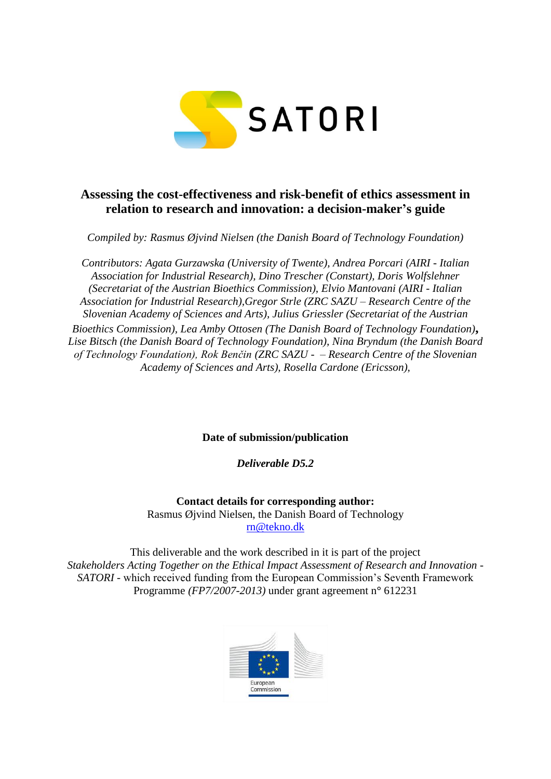

# **Assessing the cost-effectiveness and risk-benefit of ethics assessment in relation to research and innovation: a decision-maker's guide**

*Compiled by: Rasmus Øjvind Nielsen (the Danish Board of Technology Foundation)*

*Contributors: Agata Gurzawska (University of Twente), Andrea Porcari (AIRI - Italian Association for Industrial Research), Dino Trescher (Constart), Doris Wolfslehner (Secretariat of the Austrian Bioethics Commission), Elvio Mantovani (AIRI - Italian Association for Industrial Research),Gregor Strle (ZRC SAZU – Research Centre of the Slovenian Academy of Sciences and Arts), Julius Griessler (Secretariat of the Austrian Bioethics Commission), Lea Amby Ottosen (The Danish Board of Technology Foundation)***,**  *Lise Bitsch (the Danish Board of Technology Foundation), Nina Bryndum (the Danish Board of Technology Foundation), Rok Benčin (ZRC SAZU - – Research Centre of the Slovenian Academy of Sciences and Arts), Rosella Cardone (Ericsson),* 

**Date of submission/publication**

*Deliverable D5.2*

**Contact details for corresponding author:**  Rasmus Øjvind Nielsen, the Danish Board of Technology [rn@tekno.dk](mailto:rn@tekno.dk)

This deliverable and the work described in it is part of the project *Stakeholders Acting Together on the Ethical Impact Assessment of Research and Innovation - SATORI* - which received funding from the European Commission's Seventh Framework Programme *(FP7/2007-2013)* under grant agreement n**°** 612231

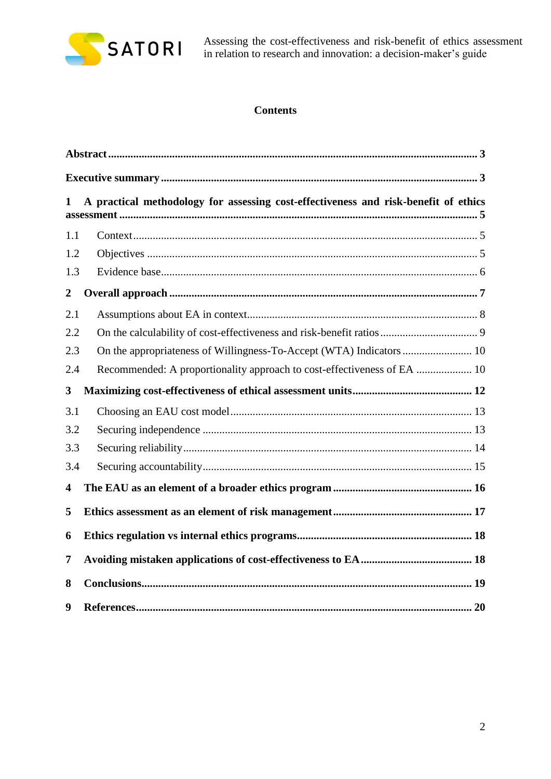

Assessing the cost-effectiveness and risk-benefit of ethics assessment in relation to research and innovation: a decision-maker's guide

# **Contents**

| 1                       | A practical methodology for assessing cost-effectiveness and risk-benefit of ethics |  |  |  |  |  |  |
|-------------------------|-------------------------------------------------------------------------------------|--|--|--|--|--|--|
| 1.1                     |                                                                                     |  |  |  |  |  |  |
| 1.2                     |                                                                                     |  |  |  |  |  |  |
| 1.3                     |                                                                                     |  |  |  |  |  |  |
| $\boldsymbol{2}$        |                                                                                     |  |  |  |  |  |  |
| 2.1                     |                                                                                     |  |  |  |  |  |  |
| 2.2                     |                                                                                     |  |  |  |  |  |  |
| 2.3                     |                                                                                     |  |  |  |  |  |  |
| 2.4                     | Recommended: A proportionality approach to cost-effectiveness of EA  10             |  |  |  |  |  |  |
| 3                       |                                                                                     |  |  |  |  |  |  |
| 3.1                     |                                                                                     |  |  |  |  |  |  |
| 3.2                     |                                                                                     |  |  |  |  |  |  |
| 3.3                     |                                                                                     |  |  |  |  |  |  |
| 3.4                     |                                                                                     |  |  |  |  |  |  |
| $\overline{\mathbf{4}}$ |                                                                                     |  |  |  |  |  |  |
| 5                       |                                                                                     |  |  |  |  |  |  |
| 6                       |                                                                                     |  |  |  |  |  |  |
| 7                       |                                                                                     |  |  |  |  |  |  |
| 8                       |                                                                                     |  |  |  |  |  |  |
| 9                       |                                                                                     |  |  |  |  |  |  |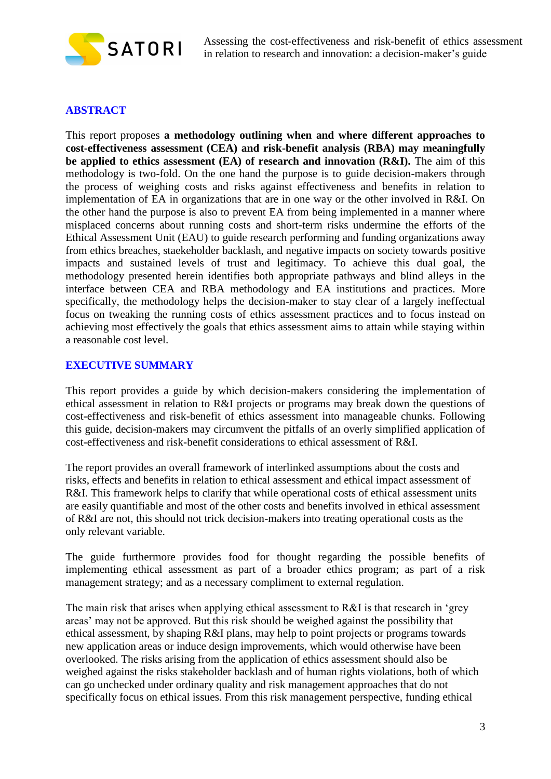

# <span id="page-2-0"></span>**ABSTRACT**

This report proposes **a methodology outlining when and where different approaches to cost-effectiveness assessment (CEA) and risk-benefit analysis (RBA) may meaningfully be applied to ethics assessment (EA) of research and innovation (R&I).** The aim of this methodology is two-fold. On the one hand the purpose is to guide decision-makers through the process of weighing costs and risks against effectiveness and benefits in relation to implementation of EA in organizations that are in one way or the other involved in R&I. On the other hand the purpose is also to prevent EA from being implemented in a manner where misplaced concerns about running costs and short-term risks undermine the efforts of the Ethical Assessment Unit (EAU) to guide research performing and funding organizations away from ethics breaches, staekeholder backlash, and negative impacts on society towards positive impacts and sustained levels of trust and legitimacy. To achieve this dual goal, the methodology presented herein identifies both appropriate pathways and blind alleys in the interface between CEA and RBA methodology and EA institutions and practices. More specifically, the methodology helps the decision-maker to stay clear of a largely ineffectual focus on tweaking the running costs of ethics assessment practices and to focus instead on achieving most effectively the goals that ethics assessment aims to attain while staying within a reasonable cost level.

## <span id="page-2-1"></span>**EXECUTIVE SUMMARY**

This report provides a guide by which decision-makers considering the implementation of ethical assessment in relation to R&I projects or programs may break down the questions of cost-effectiveness and risk-benefit of ethics assessment into manageable chunks. Following this guide, decision-makers may circumvent the pitfalls of an overly simplified application of cost-effectiveness and risk-benefit considerations to ethical assessment of R&I.

The report provides an overall framework of interlinked assumptions about the costs and risks, effects and benefits in relation to ethical assessment and ethical impact assessment of R&I. This framework helps to clarify that while operational costs of ethical assessment units are easily quantifiable and most of the other costs and benefits involved in ethical assessment of R&I are not, this should not trick decision-makers into treating operational costs as the only relevant variable.

The guide furthermore provides food for thought regarding the possible benefits of implementing ethical assessment as part of a broader ethics program; as part of a risk management strategy; and as a necessary compliment to external regulation.

The main risk that arises when applying ethical assessment to R&I is that research in 'grey areas' may not be approved. But this risk should be weighed against the possibility that ethical assessment, by shaping R&I plans, may help to point projects or programs towards new application areas or induce design improvements, which would otherwise have been overlooked. The risks arising from the application of ethics assessment should also be weighed against the risks stakeholder backlash and of human rights violations, both of which can go unchecked under ordinary quality and risk management approaches that do not specifically focus on ethical issues. From this risk management perspective, funding ethical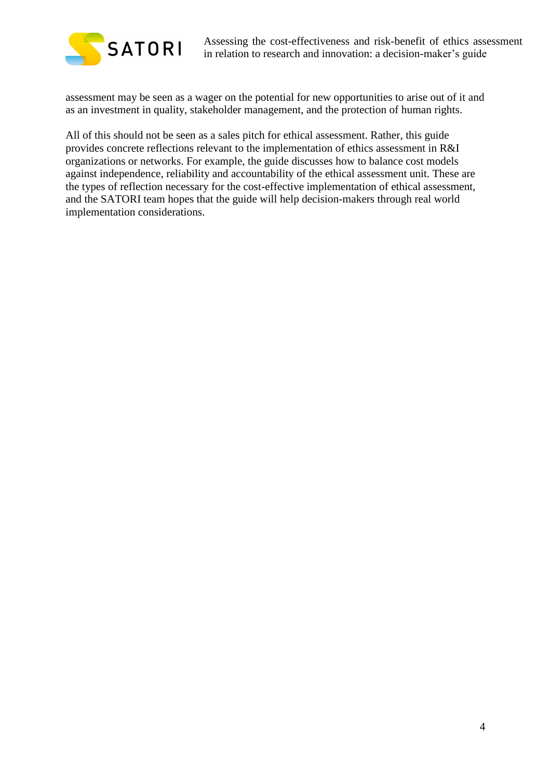

assessment may be seen as a wager on the potential for new opportunities to arise out of it and as an investment in quality, stakeholder management, and the protection of human rights.

All of this should not be seen as a sales pitch for ethical assessment. Rather, this guide provides concrete reflections relevant to the implementation of ethics assessment in R&I organizations or networks. For example, the guide discusses how to balance cost models against independence, reliability and accountability of the ethical assessment unit. These are the types of reflection necessary for the cost-effective implementation of ethical assessment, and the SATORI team hopes that the guide will help decision-makers through real world implementation considerations.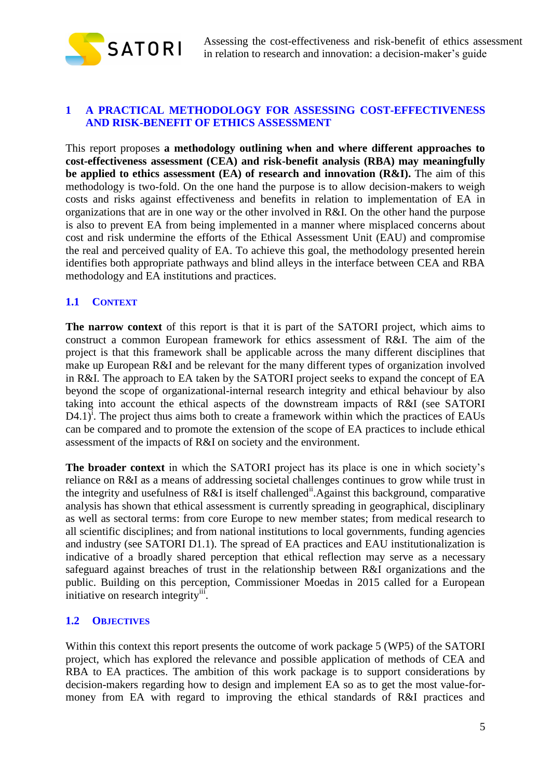

# <span id="page-4-0"></span>**1 A PRACTICAL METHODOLOGY FOR ASSESSING COST-EFFECTIVENESS AND RISK-BENEFIT OF ETHICS ASSESSMENT**

This report proposes **a methodology outlining when and where different approaches to cost-effectiveness assessment (CEA) and risk-benefit analysis (RBA) may meaningfully be applied to ethics assessment (EA) of research and innovation (R&I).** The aim of this methodology is two-fold. On the one hand the purpose is to allow decision-makers to weigh costs and risks against effectiveness and benefits in relation to implementation of EA in organizations that are in one way or the other involved in R&I. On the other hand the purpose is also to prevent EA from being implemented in a manner where misplaced concerns about cost and risk undermine the efforts of the Ethical Assessment Unit (EAU) and compromise the real and perceived quality of EA. To achieve this goal, the methodology presented herein identifies both appropriate pathways and blind alleys in the interface between CEA and RBA methodology and EA institutions and practices.

# <span id="page-4-1"></span>**1.1 CONTEXT**

**The narrow context** of this report is that it is part of the SATORI project, which aims to construct a common European framework for ethics assessment of R&I. The aim of the project is that this framework shall be applicable across the many different disciplines that make up European R&I and be relevant for the many different types of organization involved in R&I. The approach to EA taken by the SATORI project seeks to expand the concept of EA beyond the scope of organizational-internal research integrity and ethical behaviour by also taking into account the ethical aspects of the downstream impacts of R&I (see SATORI  $D4.1$ <sup>i</sup>. The project thus aims both to create a framework within which the practices of EAUs can be compared and to promote the extension of the scope of EA practices to include ethical assessment of the impacts of R&I on society and the environment.

**The broader context** in which the SATORI project has its place is one in which society's reliance on R&I as a means of addressing societal challenges continues to grow while trust in the integrity and usefulness of R&I is itself challenged<sup>ii</sup>. Against this background, comparative analysis has shown that ethical assessment is currently spreading in geographical, disciplinary as well as sectoral terms: from core Europe to new member states; from medical research to all scientific disciplines; and from national institutions to local governments, funding agencies and industry (see SATORI D1.1). The spread of EA practices and EAU institutionalization is indicative of a broadly shared perception that ethical reflection may serve as a necessary safeguard against breaches of trust in the relationship between R&I organizations and the public. Building on this perception, Commissioner Moedas in 2015 called for a European initiative on research integrity<sup>iif</sup>.

### <span id="page-4-2"></span>**1.2 OBJECTIVES**

Within this context this report presents the outcome of work package 5 (WP5) of the SATORI project, which has explored the relevance and possible application of methods of CEA and RBA to EA practices. The ambition of this work package is to support considerations by decision-makers regarding how to design and implement EA so as to get the most value-formoney from EA with regard to improving the ethical standards of R&I practices and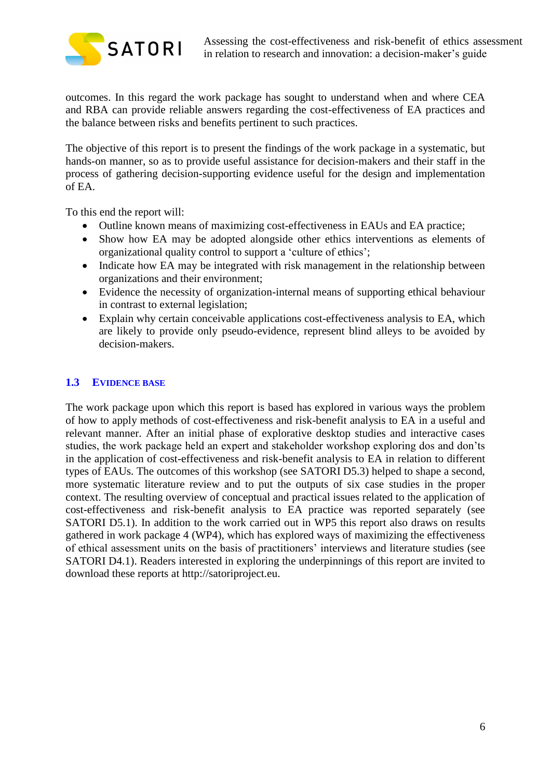

outcomes. In this regard the work package has sought to understand when and where CEA and RBA can provide reliable answers regarding the cost-effectiveness of EA practices and the balance between risks and benefits pertinent to such practices.

The objective of this report is to present the findings of the work package in a systematic, but hands-on manner, so as to provide useful assistance for decision-makers and their staff in the process of gathering decision-supporting evidence useful for the design and implementation of EA.

To this end the report will:

- Outline known means of maximizing cost-effectiveness in EAUs and EA practice;
- Show how EA may be adopted alongside other ethics interventions as elements of organizational quality control to support a 'culture of ethics';
- Indicate how EA may be integrated with risk management in the relationship between organizations and their environment;
- Evidence the necessity of organization-internal means of supporting ethical behaviour in contrast to external legislation;
- Explain why certain conceivable applications cost-effectiveness analysis to EA, which are likely to provide only pseudo-evidence, represent blind alleys to be avoided by decision-makers.

# <span id="page-5-0"></span>**1.3 EVIDENCE BASE**

The work package upon which this report is based has explored in various ways the problem of how to apply methods of cost-effectiveness and risk-benefit analysis to EA in a useful and relevant manner. After an initial phase of explorative desktop studies and interactive cases studies, the work package held an expert and stakeholder workshop exploring dos and don'ts in the application of cost-effectiveness and risk-benefit analysis to EA in relation to different types of EAUs. The outcomes of this workshop (see SATORI D5.3) helped to shape a second, more systematic literature review and to put the outputs of six case studies in the proper context. The resulting overview of conceptual and practical issues related to the application of cost-effectiveness and risk-benefit analysis to EA practice was reported separately (see SATORI D5.1). In addition to the work carried out in WP5 this report also draws on results gathered in work package 4 (WP4), which has explored ways of maximizing the effectiveness of ethical assessment units on the basis of practitioners' interviews and literature studies (see SATORI D4.1). Readers interested in exploring the underpinnings of this report are invited to download these reports at http://satoriproject.eu.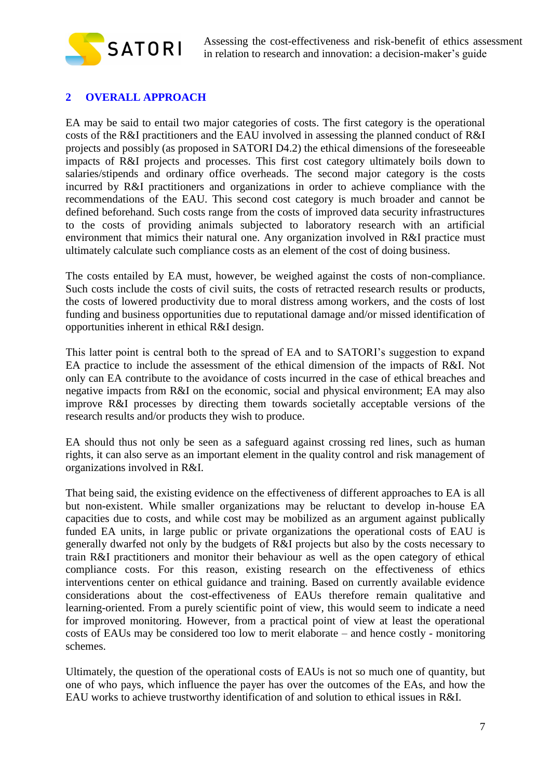

# <span id="page-6-0"></span>**2 OVERALL APPROACH**

EA may be said to entail two major categories of costs. The first category is the operational costs of the R&I practitioners and the EAU involved in assessing the planned conduct of R&I projects and possibly (as proposed in SATORI D4.2) the ethical dimensions of the foreseeable impacts of R&I projects and processes. This first cost category ultimately boils down to salaries/stipends and ordinary office overheads. The second major category is the costs incurred by R&I practitioners and organizations in order to achieve compliance with the recommendations of the EAU. This second cost category is much broader and cannot be defined beforehand. Such costs range from the costs of improved data security infrastructures to the costs of providing animals subjected to laboratory research with an artificial environment that mimics their natural one. Any organization involved in R&I practice must ultimately calculate such compliance costs as an element of the cost of doing business.

The costs entailed by EA must, however, be weighed against the costs of non-compliance. Such costs include the costs of civil suits, the costs of retracted research results or products, the costs of lowered productivity due to moral distress among workers, and the costs of lost funding and business opportunities due to reputational damage and/or missed identification of opportunities inherent in ethical R&I design.

This latter point is central both to the spread of EA and to SATORI's suggestion to expand EA practice to include the assessment of the ethical dimension of the impacts of R&I. Not only can EA contribute to the avoidance of costs incurred in the case of ethical breaches and negative impacts from R&I on the economic, social and physical environment; EA may also improve R&I processes by directing them towards societally acceptable versions of the research results and/or products they wish to produce.

EA should thus not only be seen as a safeguard against crossing red lines, such as human rights, it can also serve as an important element in the quality control and risk management of organizations involved in R&I.

That being said, the existing evidence on the effectiveness of different approaches to EA is all but non-existent. While smaller organizations may be reluctant to develop in-house EA capacities due to costs, and while cost may be mobilized as an argument against publically funded EA units, in large public or private organizations the operational costs of EAU is generally dwarfed not only by the budgets of R&I projects but also by the costs necessary to train R&I practitioners and monitor their behaviour as well as the open category of ethical compliance costs. For this reason, existing research on the effectiveness of ethics interventions center on ethical guidance and training. Based on currently available evidence considerations about the cost-effectiveness of EAUs therefore remain qualitative and learning-oriented. From a purely scientific point of view, this would seem to indicate a need for improved monitoring. However, from a practical point of view at least the operational costs of EAUs may be considered too low to merit elaborate – and hence costly - monitoring schemes.

Ultimately, the question of the operational costs of EAUs is not so much one of quantity, but one of who pays, which influence the payer has over the outcomes of the EAs, and how the EAU works to achieve trustworthy identification of and solution to ethical issues in R&I.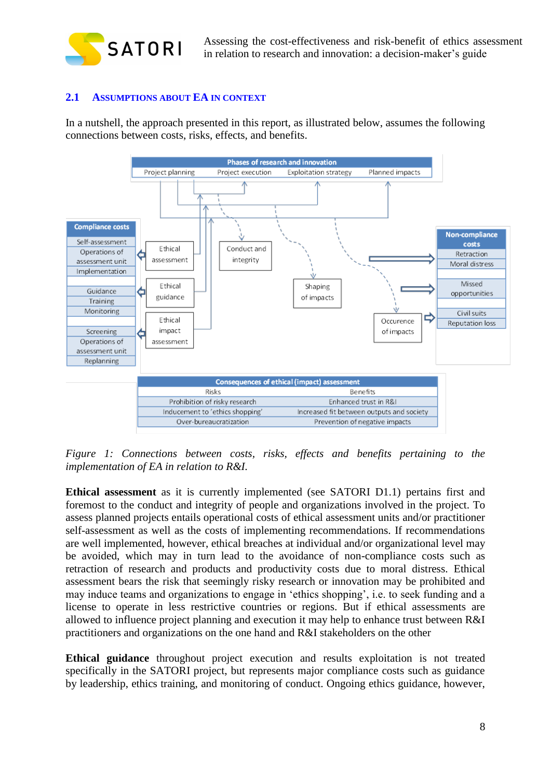

Assessing the cost-effectiveness and risk-benefit of ethics assessment in relation to research and innovation: a decision-maker's guide

### <span id="page-7-0"></span>**2.1 ASSUMPTIONS ABOUT EA IN CONTEXT**

In a nutshell, the approach presented in this report, as illustrated below, assumes the following connections between costs, risks, effects, and benefits.



*Figure 1: Connections between costs, risks, effects and benefits pertaining to the implementation of EA in relation to R&I.*

**Ethical assessment** as it is currently implemented (see SATORI D1.1) pertains first and foremost to the conduct and integrity of people and organizations involved in the project. To assess planned projects entails operational costs of ethical assessment units and/or practitioner self-assessment as well as the costs of implementing recommendations. If recommendations are well implemented, however, ethical breaches at individual and/or organizational level may be avoided, which may in turn lead to the avoidance of non-compliance costs such as retraction of research and products and productivity costs due to moral distress. Ethical assessment bears the risk that seemingly risky research or innovation may be prohibited and may induce teams and organizations to engage in 'ethics shopping', i.e. to seek funding and a license to operate in less restrictive countries or regions. But if ethical assessments are allowed to influence project planning and execution it may help to enhance trust between R&I practitioners and organizations on the one hand and R&I stakeholders on the other

**Ethical guidance** throughout project execution and results exploitation is not treated specifically in the SATORI project, but represents major compliance costs such as guidance by leadership, ethics training, and monitoring of conduct. Ongoing ethics guidance, however,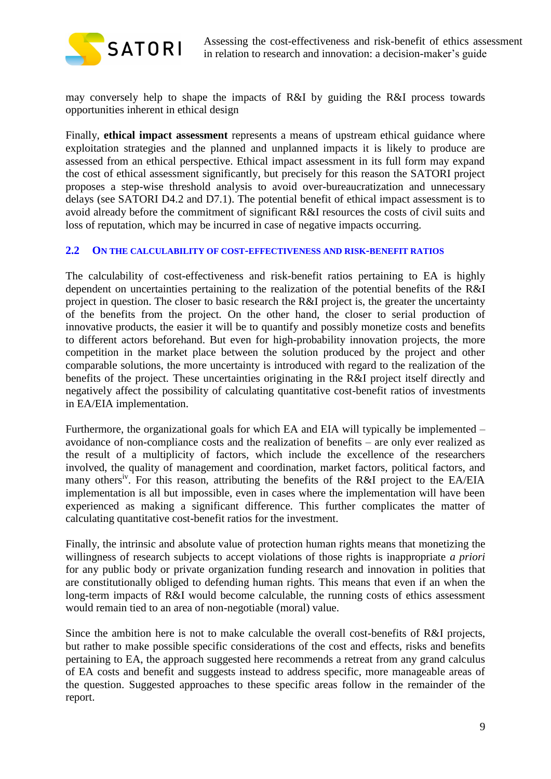

may conversely help to shape the impacts of R&I by guiding the R&I process towards opportunities inherent in ethical design

Finally, **ethical impact assessment** represents a means of upstream ethical guidance where exploitation strategies and the planned and unplanned impacts it is likely to produce are assessed from an ethical perspective. Ethical impact assessment in its full form may expand the cost of ethical assessment significantly, but precisely for this reason the SATORI project proposes a step-wise threshold analysis to avoid over-bureaucratization and unnecessary delays (see SATORI D4.2 and D7.1). The potential benefit of ethical impact assessment is to avoid already before the commitment of significant R&I resources the costs of civil suits and loss of reputation, which may be incurred in case of negative impacts occurring.

### <span id="page-8-0"></span>**2.2 ON THE CALCULABILITY OF COST-EFFECTIVENESS AND RISK-BENEFIT RATIOS**

The calculability of cost-effectiveness and risk-benefit ratios pertaining to EA is highly dependent on uncertainties pertaining to the realization of the potential benefits of the R&I project in question. The closer to basic research the R&I project is, the greater the uncertainty of the benefits from the project. On the other hand, the closer to serial production of innovative products, the easier it will be to quantify and possibly monetize costs and benefits to different actors beforehand. But even for high-probability innovation projects, the more competition in the market place between the solution produced by the project and other comparable solutions, the more uncertainty is introduced with regard to the realization of the benefits of the project. These uncertainties originating in the R&I project itself directly and negatively affect the possibility of calculating quantitative cost-benefit ratios of investments in EA/EIA implementation.

Furthermore, the organizational goals for which EA and EIA will typically be implemented – avoidance of non-compliance costs and the realization of benefits – are only ever realized as the result of a multiplicity of factors, which include the excellence of the researchers involved, the quality of management and coordination, market factors, political factors, and many others<sup>iv</sup>. For this reason, attributing the benefits of the R&I project to the EA/EIA implementation is all but impossible, even in cases where the implementation will have been experienced as making a significant difference. This further complicates the matter of calculating quantitative cost-benefit ratios for the investment.

Finally, the intrinsic and absolute value of protection human rights means that monetizing the willingness of research subjects to accept violations of those rights is inappropriate *a priori*  for any public body or private organization funding research and innovation in polities that are constitutionally obliged to defending human rights. This means that even if an when the long-term impacts of R&I would become calculable, the running costs of ethics assessment would remain tied to an area of non-negotiable (moral) value.

Since the ambition here is not to make calculable the overall cost-benefits of R&I projects, but rather to make possible specific considerations of the cost and effects, risks and benefits pertaining to EA, the approach suggested here recommends a retreat from any grand calculus of EA costs and benefit and suggests instead to address specific, more manageable areas of the question. Suggested approaches to these specific areas follow in the remainder of the report.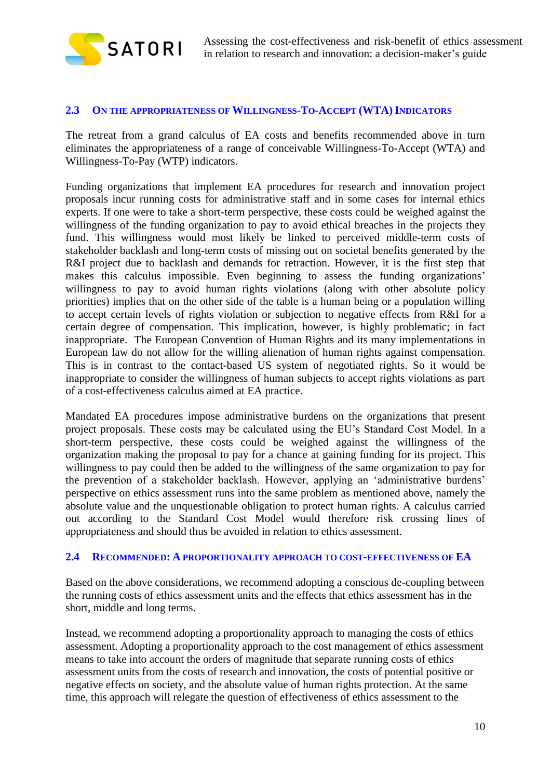

#### <span id="page-9-0"></span>**2.3 ON THE APPROPRIATENESS OF WILLINGNESS-TO-ACCEPT (WTA) INDICATORS**

The retreat from a grand calculus of EA costs and benefits recommended above in turn eliminates the appropriateness of a range of conceivable Willingness-To-Accept (WTA) and Willingness-To-Pay (WTP) indicators.

Funding organizations that implement EA procedures for research and innovation project proposals incur running costs for administrative staff and in some cases for internal ethics experts. If one were to take a short-term perspective, these costs could be weighed against the willingness of the funding organization to pay to avoid ethical breaches in the projects they fund. This willingness would most likely be linked to perceived middle-term costs of stakeholder backlash and long-term costs of missing out on societal benefits generated by the R&I project due to backlash and demands for retraction. However, it is the first step that makes this calculus impossible. Even beginning to assess the funding organizations' willingness to pay to avoid human rights violations (along with other absolute policy priorities) implies that on the other side of the table is a human being or a population willing to accept certain levels of rights violation or subjection to negative effects from R&I for a certain degree of compensation. This implication, however, is highly problematic; in fact inappropriate. The European Convention of Human Rights and its many implementations in European law do not allow for the willing alienation of human rights against compensation. This is in contrast to the contact-based US system of negotiated rights. So it would be inappropriate to consider the willingness of human subjects to accept rights violations as part of a cost-effectiveness calculus aimed at EA practice.

Mandated EA procedures impose administrative burdens on the organizations that present project proposals. These costs may be calculated using the EU's Standard Cost Model. In a short-term perspective, these costs could be weighed against the willingness of the organization making the proposal to pay for a chance at gaining funding for its project. This willingness to pay could then be added to the willingness of the same organization to pay for the prevention of a stakeholder backlash. However, applying an 'administrative burdens' perspective on ethics assessment runs into the same problem as mentioned above, namely the absolute value and the unquestionable obligation to protect human rights. A calculus carried out according to the Standard Cost Model would therefore risk crossing lines of appropriateness and should thus be avoided in relation to ethics assessment.

#### <span id="page-9-1"></span>**2.4 RECOMMENDED: A PROPORTIONALITY APPROACH TO COST-EFFECTIVENESS OF EA**

Based on the above considerations, we recommend adopting a conscious de-coupling between the running costs of ethics assessment units and the effects that ethics assessment has in the short, middle and long terms.

Instead, we recommend adopting a proportionality approach to managing the costs of ethics assessment. Adopting a proportionality approach to the cost management of ethics assessment means to take into account the orders of magnitude that separate running costs of ethics assessment units from the costs of research and innovation, the costs of potential positive or negative effects on society, and the absolute value of human rights protection. At the same time, this approach will relegate the question of effectiveness of ethics assessment to the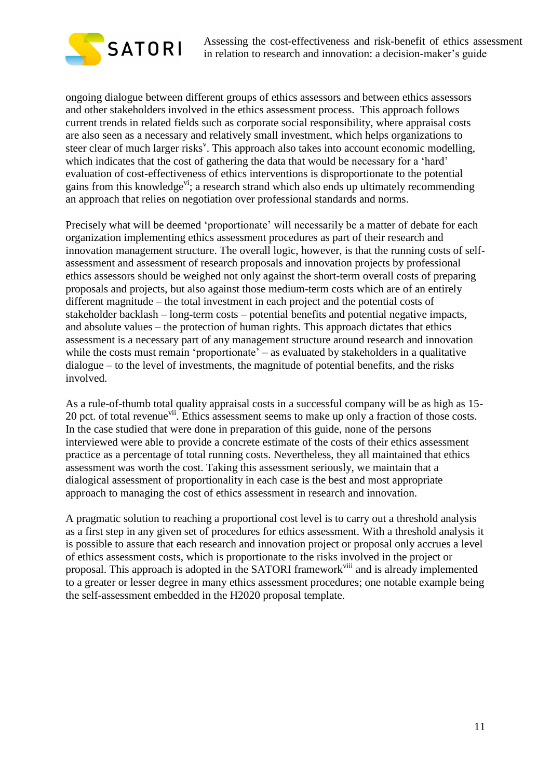

ongoing dialogue between different groups of ethics assessors and between ethics assessors and other stakeholders involved in the ethics assessment process. This approach follows current trends in related fields such as corporate social responsibility, where appraisal costs are also seen as a necessary and relatively small investment, which helps organizations to steer clear of much larger risks<sup>v</sup>. This approach also takes into account economic modelling, which indicates that the cost of gathering the data that would be necessary for a 'hard' evaluation of cost-effectiveness of ethics interventions is disproportionate to the potential gains from this knowledge<sup>vi</sup>; a research strand which also ends up ultimately recommending an approach that relies on negotiation over professional standards and norms.

Precisely what will be deemed 'proportionate' will necessarily be a matter of debate for each organization implementing ethics assessment procedures as part of their research and innovation management structure. The overall logic, however, is that the running costs of selfassessment and assessment of research proposals and innovation projects by professional ethics assessors should be weighed not only against the short-term overall costs of preparing proposals and projects, but also against those medium-term costs which are of an entirely different magnitude – the total investment in each project and the potential costs of stakeholder backlash – long-term costs – potential benefits and potential negative impacts, and absolute values – the protection of human rights. This approach dictates that ethics assessment is a necessary part of any management structure around research and innovation while the costs must remain 'proportionate' – as evaluated by stakeholders in a qualitative dialogue – to the level of investments, the magnitude of potential benefits, and the risks involved.

As a rule-of-thumb total quality appraisal costs in a successful company will be as high as 15- 20 pct. of total revenue<sup>vii</sup>. Ethics assessment seems to make up only a fraction of those costs. In the case studied that were done in preparation of this guide, none of the persons interviewed were able to provide a concrete estimate of the costs of their ethics assessment practice as a percentage of total running costs. Nevertheless, they all maintained that ethics assessment was worth the cost. Taking this assessment seriously, we maintain that a dialogical assessment of proportionality in each case is the best and most appropriate approach to managing the cost of ethics assessment in research and innovation.

A pragmatic solution to reaching a proportional cost level is to carry out a threshold analysis as a first step in any given set of procedures for ethics assessment. With a threshold analysis it is possible to assure that each research and innovation project or proposal only accrues a level of ethics assessment costs, which is proportionate to the risks involved in the project or proposal. This approach is adopted in the SATORI framework<sup>viii</sup> and is already implemented to a greater or lesser degree in many ethics assessment procedures; one notable example being the self-assessment embedded in the H2020 proposal template.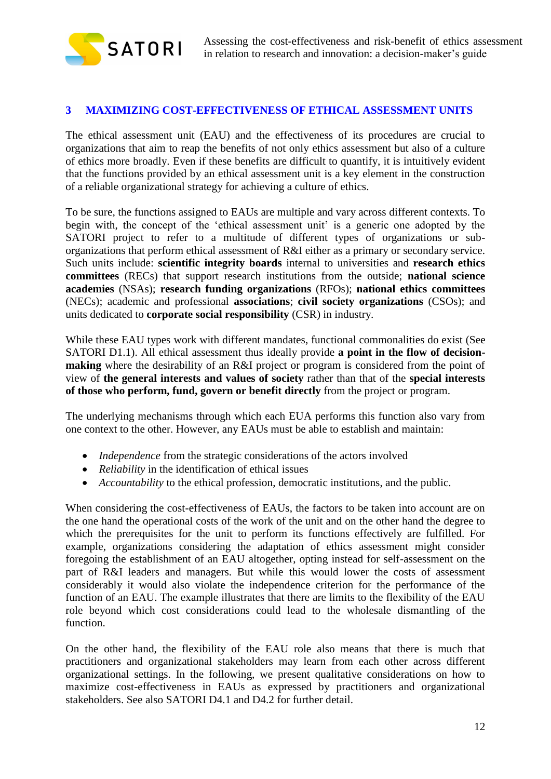

## <span id="page-11-0"></span>**3 MAXIMIZING COST-EFFECTIVENESS OF ETHICAL ASSESSMENT UNITS**

The ethical assessment unit (EAU) and the effectiveness of its procedures are crucial to organizations that aim to reap the benefits of not only ethics assessment but also of a culture of ethics more broadly. Even if these benefits are difficult to quantify, it is intuitively evident that the functions provided by an ethical assessment unit is a key element in the construction of a reliable organizational strategy for achieving a culture of ethics.

To be sure, the functions assigned to EAUs are multiple and vary across different contexts. To begin with, the concept of the 'ethical assessment unit' is a generic one adopted by the SATORI project to refer to a multitude of different types of organizations or suborganizations that perform ethical assessment of R&I either as a primary or secondary service. Such units include: **scientific integrity boards** internal to universities and **research ethics committees** (RECs) that support research institutions from the outside; **national science academies** (NSAs); **research funding organizations** (RFOs); **national ethics committees** (NECs); academic and professional **associations**; **civil society organizations** (CSOs); and units dedicated to **corporate social responsibility** (CSR) in industry.

While these EAU types work with different mandates, functional commonalities do exist (See SATORI D1.1). All ethical assessment thus ideally provide **a point in the flow of decisionmaking** where the desirability of an R&I project or program is considered from the point of view of **the general interests and values of society** rather than that of the **special interests of those who perform, fund, govern or benefit directly** from the project or program.

The underlying mechanisms through which each EUA performs this function also vary from one context to the other. However, any EAUs must be able to establish and maintain:

- *Independence* from the strategic considerations of the actors involved
- *Reliability* in the identification of ethical issues
- *Accountability* to the ethical profession, democratic institutions, and the public.

When considering the cost-effectiveness of EAUs, the factors to be taken into account are on the one hand the operational costs of the work of the unit and on the other hand the degree to which the prerequisites for the unit to perform its functions effectively are fulfilled. For example, organizations considering the adaptation of ethics assessment might consider foregoing the establishment of an EAU altogether, opting instead for self-assessment on the part of R&I leaders and managers. But while this would lower the costs of assessment considerably it would also violate the independence criterion for the performance of the function of an EAU. The example illustrates that there are limits to the flexibility of the EAU role beyond which cost considerations could lead to the wholesale dismantling of the function.

On the other hand, the flexibility of the EAU role also means that there is much that practitioners and organizational stakeholders may learn from each other across different organizational settings. In the following, we present qualitative considerations on how to maximize cost-effectiveness in EAUs as expressed by practitioners and organizational stakeholders. See also SATORI D4.1 and D4.2 for further detail.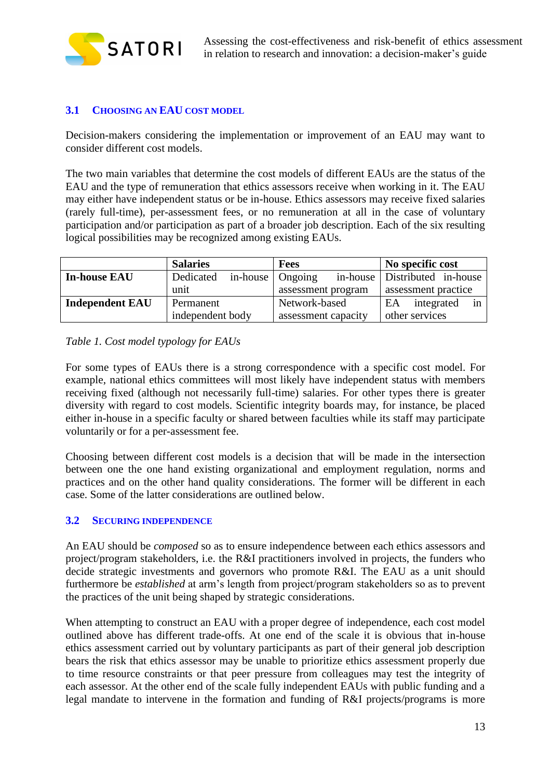

# <span id="page-12-0"></span>**3.1 CHOOSING AN EAU COST MODEL**

Decision-makers considering the implementation or improvement of an EAU may want to consider different cost models.

The two main variables that determine the cost models of different EAUs are the status of the EAU and the type of remuneration that ethics assessors receive when working in it. The EAU may either have independent status or be in-house. Ethics assessors may receive fixed salaries (rarely full-time), per-assessment fees, or no remuneration at all in the case of voluntary participation and/or participation as part of a broader job description. Each of the six resulting logical possibilities may be recognized among existing EAUs.

|                                     | <b>Salaries</b>                      | <b>Fees</b>         | No specific cost              |
|-------------------------------------|--------------------------------------|---------------------|-------------------------------|
| <b>In-house EAU</b>                 | in-house $\Box$ Ongoing<br>Dedicated |                     | in-house Distributed in-house |
|                                     | unit                                 | assessment program  | assessment practice           |
| <b>Independent EAU</b><br>Permanent |                                      | Network-based       | EA<br>integrated<br>1n        |
|                                     | independent body                     | assessment capacity | other services                |

## *Table 1. Cost model typology for EAUs*

For some types of EAUs there is a strong correspondence with a specific cost model. For example, national ethics committees will most likely have independent status with members receiving fixed (although not necessarily full-time) salaries. For other types there is greater diversity with regard to cost models. Scientific integrity boards may, for instance, be placed either in-house in a specific faculty or shared between faculties while its staff may participate voluntarily or for a per-assessment fee.

Choosing between different cost models is a decision that will be made in the intersection between one the one hand existing organizational and employment regulation, norms and practices and on the other hand quality considerations. The former will be different in each case. Some of the latter considerations are outlined below.

### <span id="page-12-1"></span>**3.2 SECURING INDEPENDENCE**

An EAU should be *composed* so as to ensure independence between each ethics assessors and project/program stakeholders, i.e. the R&I practitioners involved in projects, the funders who decide strategic investments and governors who promote R&I. The EAU as a unit should furthermore be *established* at arm's length from project/program stakeholders so as to prevent the practices of the unit being shaped by strategic considerations.

When attempting to construct an EAU with a proper degree of independence, each cost model outlined above has different trade-offs. At one end of the scale it is obvious that in-house ethics assessment carried out by voluntary participants as part of their general job description bears the risk that ethics assessor may be unable to prioritize ethics assessment properly due to time resource constraints or that peer pressure from colleagues may test the integrity of each assessor. At the other end of the scale fully independent EAUs with public funding and a legal mandate to intervene in the formation and funding of R&I projects/programs is more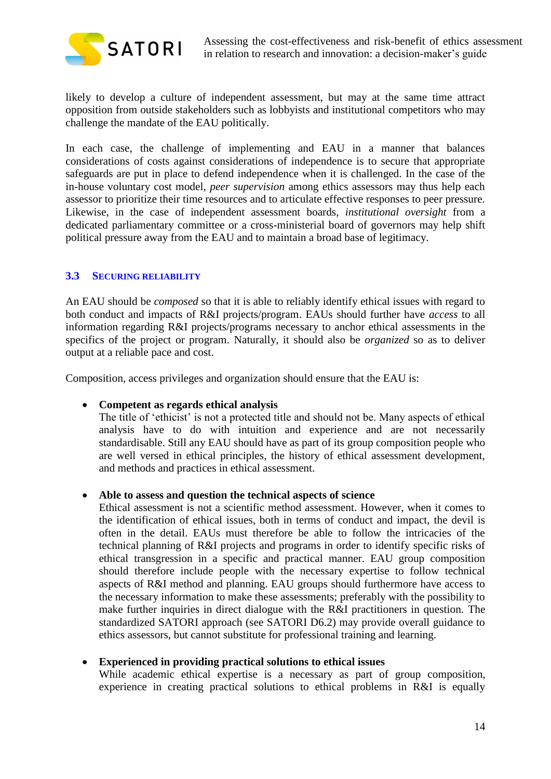

likely to develop a culture of independent assessment, but may at the same time attract opposition from outside stakeholders such as lobbyists and institutional competitors who may challenge the mandate of the EAU politically.

In each case, the challenge of implementing and EAU in a manner that balances considerations of costs against considerations of independence is to secure that appropriate safeguards are put in place to defend independence when it is challenged. In the case of the in-house voluntary cost model, *peer supervision* among ethics assessors may thus help each assessor to prioritize their time resources and to articulate effective responses to peer pressure. Likewise, in the case of independent assessment boards, *institutional oversight* from a dedicated parliamentary committee or a cross-ministerial board of governors may help shift political pressure away from the EAU and to maintain a broad base of legitimacy.

## <span id="page-13-0"></span>**3.3 SECURING RELIABILITY**

An EAU should be *composed* so that it is able to reliably identify ethical issues with regard to both conduct and impacts of R&I projects/program. EAUs should further have *access* to all information regarding R&I projects/programs necessary to anchor ethical assessments in the specifics of the project or program. Naturally, it should also be *organized* so as to deliver output at a reliable pace and cost.

Composition, access privileges and organization should ensure that the EAU is:

### **Competent as regards ethical analysis**

The title of 'ethicist' is not a protected title and should not be. Many aspects of ethical analysis have to do with intuition and experience and are not necessarily standardisable. Still any EAU should have as part of its group composition people who are well versed in ethical principles, the history of ethical assessment development, and methods and practices in ethical assessment.

### **Able to assess and question the technical aspects of science**

Ethical assessment is not a scientific method assessment. However, when it comes to the identification of ethical issues, both in terms of conduct and impact, the devil is often in the detail. EAUs must therefore be able to follow the intricacies of the technical planning of R&I projects and programs in order to identify specific risks of ethical transgression in a specific and practical manner. EAU group composition should therefore include people with the necessary expertise to follow technical aspects of R&I method and planning. EAU groups should furthermore have access to the necessary information to make these assessments; preferably with the possibility to make further inquiries in direct dialogue with the R&I practitioners in question. The standardized SATORI approach (see SATORI D6.2) may provide overall guidance to ethics assessors, but cannot substitute for professional training and learning.

### **Experienced in providing practical solutions to ethical issues**

While academic ethical expertise is a necessary as part of group composition, experience in creating practical solutions to ethical problems in R&I is equally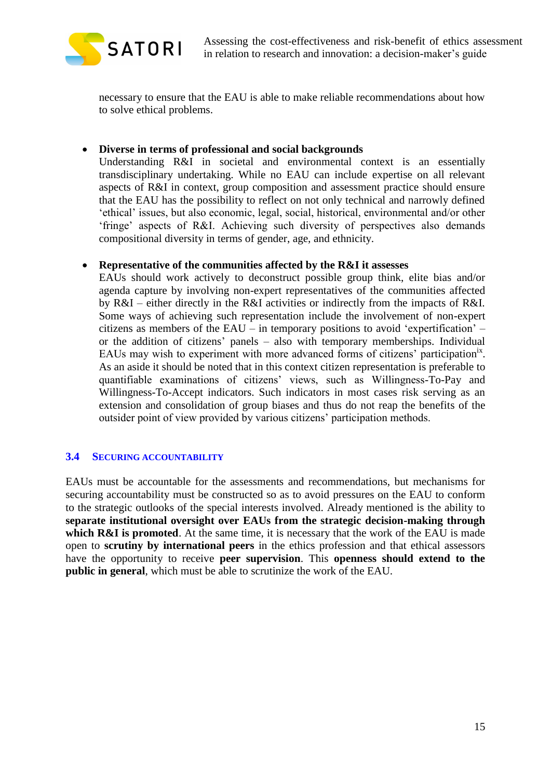

necessary to ensure that the EAU is able to make reliable recommendations about how to solve ethical problems.

**Diverse in terms of professional and social backgrounds**

Understanding R&I in societal and environmental context is an essentially transdisciplinary undertaking. While no EAU can include expertise on all relevant aspects of R&I in context, group composition and assessment practice should ensure that the EAU has the possibility to reflect on not only technical and narrowly defined 'ethical' issues, but also economic, legal, social, historical, environmental and/or other 'fringe' aspects of R&I. Achieving such diversity of perspectives also demands compositional diversity in terms of gender, age, and ethnicity.

## **Representative of the communities affected by the R&I it assesses**

EAUs should work actively to deconstruct possible group think, elite bias and/or agenda capture by involving non-expert representatives of the communities affected by R&I – either directly in the R&I activities or indirectly from the impacts of R&I. Some ways of achieving such representation include the involvement of non-expert citizens as members of the EAU – in temporary positions to avoid 'expertification' – or the addition of citizens' panels – also with temporary memberships. Individual EAUs may wish to experiment with more advanced forms of citizens' participation<sup>ix</sup>. As an aside it should be noted that in this context citizen representation is preferable to quantifiable examinations of citizens' views, such as Willingness-To-Pay and Willingness-To-Accept indicators. Such indicators in most cases risk serving as an extension and consolidation of group biases and thus do not reap the benefits of the outsider point of view provided by various citizens' participation methods.

# <span id="page-14-0"></span>**3.4 SECURING ACCOUNTABILITY**

EAUs must be accountable for the assessments and recommendations, but mechanisms for securing accountability must be constructed so as to avoid pressures on the EAU to conform to the strategic outlooks of the special interests involved. Already mentioned is the ability to **separate institutional oversight over EAUs from the strategic decision-making through**  which **R&I** is promoted. At the same time, it is necessary that the work of the EAU is made open to **scrutiny by international peers** in the ethics profession and that ethical assessors have the opportunity to receive **peer supervision**. This **openness should extend to the public in general**, which must be able to scrutinize the work of the EAU.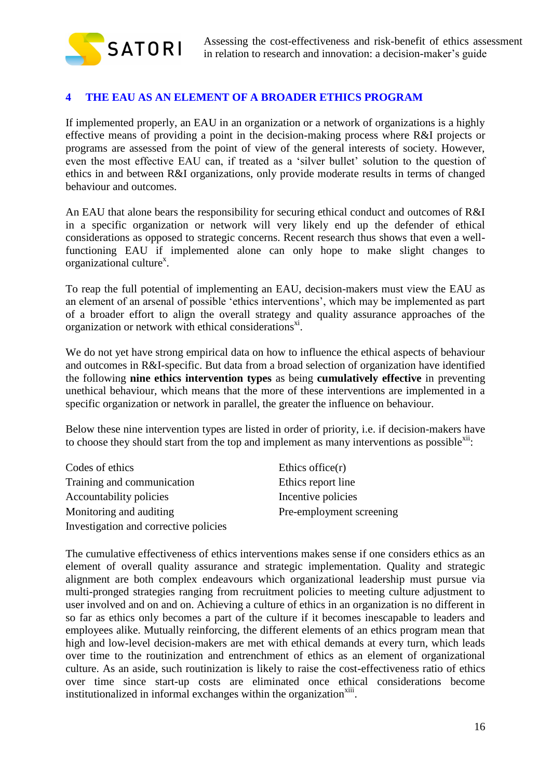

# <span id="page-15-0"></span>**4 THE EAU AS AN ELEMENT OF A BROADER ETHICS PROGRAM**

If implemented properly, an EAU in an organization or a network of organizations is a highly effective means of providing a point in the decision-making process where R&I projects or programs are assessed from the point of view of the general interests of society. However, even the most effective EAU can, if treated as a 'silver bullet' solution to the question of ethics in and between R&I organizations, only provide moderate results in terms of changed behaviour and outcomes.

An EAU that alone bears the responsibility for securing ethical conduct and outcomes of R&I in a specific organization or network will very likely end up the defender of ethical considerations as opposed to strategic concerns. Recent research thus shows that even a wellfunctioning EAU if implemented alone can only hope to make slight changes to organizational culture<sup>x</sup>.

To reap the full potential of implementing an EAU, decision-makers must view the EAU as an element of an arsenal of possible 'ethics interventions', which may be implemented as part of a broader effort to align the overall strategy and quality assurance approaches of the organization or network with ethical considerations<sup>xi</sup>.

We do not yet have strong empirical data on how to influence the ethical aspects of behaviour and outcomes in R&I-specific. But data from a broad selection of organization have identified the following **nine ethics intervention types** as being **cumulatively effective** in preventing unethical behaviour, which means that the more of these interventions are implemented in a specific organization or network in parallel, the greater the influence on behaviour.

Below these nine intervention types are listed in order of priority, i.e. if decision-makers have to choose they should start from the top and implement as many interventions as possible $x^{iii}$ .

| Codes of ethics                       | Ethics office $(r)$      |
|---------------------------------------|--------------------------|
| Training and communication            | Ethics report line       |
| Accountability policies               | Incentive policies       |
| Monitoring and auditing               | Pre-employment screening |
| Investigation and corrective policies |                          |

The cumulative effectiveness of ethics interventions makes sense if one considers ethics as an element of overall quality assurance and strategic implementation. Quality and strategic alignment are both complex endeavours which organizational leadership must pursue via multi-pronged strategies ranging from recruitment policies to meeting culture adjustment to user involved and on and on. Achieving a culture of ethics in an organization is no different in so far as ethics only becomes a part of the culture if it becomes inescapable to leaders and employees alike. Mutually reinforcing, the different elements of an ethics program mean that high and low-level decision-makers are met with ethical demands at every turn, which leads over time to the routinization and entrenchment of ethics as an element of organizational culture. As an aside, such routinization is likely to raise the cost-effectiveness ratio of ethics over time since start-up costs are eliminated once ethical considerations become institutionalized in informal exchanges within the organization $\frac{x}{i}$ .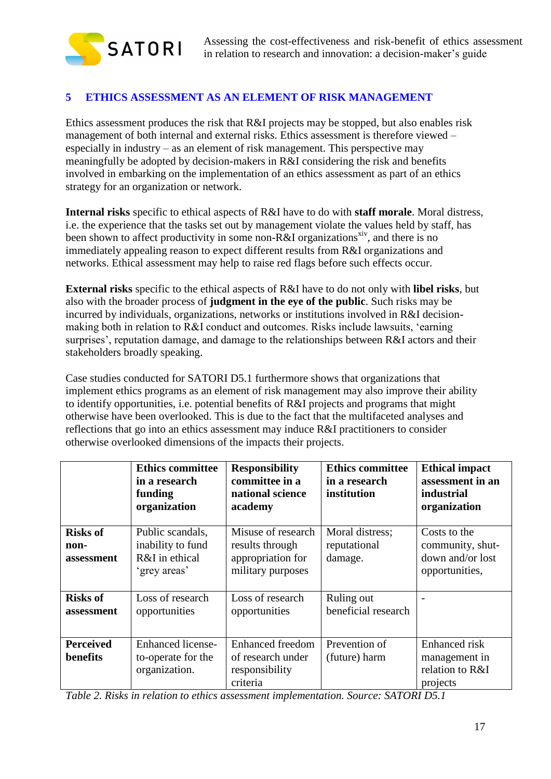

# <span id="page-16-0"></span>**5 ETHICS ASSESSMENT AS AN ELEMENT OF RISK MANAGEMENT**

Ethics assessment produces the risk that R&I projects may be stopped, but also enables risk management of both internal and external risks. Ethics assessment is therefore viewed – especially in industry – as an element of risk management. This perspective may meaningfully be adopted by decision-makers in R&I considering the risk and benefits involved in embarking on the implementation of an ethics assessment as part of an ethics strategy for an organization or network.

**Internal risks** specific to ethical aspects of R&I have to do with **staff morale**. Moral distress, i.e. the experience that the tasks set out by management violate the values held by staff, has been shown to affect productivity in some non-R&I organizations<sup>xiv</sup>, and there is no immediately appealing reason to expect different results from R&I organizations and networks. Ethical assessment may help to raise red flags before such effects occur.

**External risks** specific to the ethical aspects of R&I have to do not only with **libel risks**, but also with the broader process of **judgment in the eye of the public**. Such risks may be incurred by individuals, organizations, networks or institutions involved in R&I decisionmaking both in relation to R&I conduct and outcomes. Risks include lawsuits, 'earning surprises', reputation damage, and damage to the relationships between R&I actors and their stakeholders broadly speaking.

Case studies conducted for SATORI D5.1 furthermore shows that organizations that implement ethics programs as an element of risk management may also improve their ability to identify opportunities, i.e. potential benefits of R&I projects and programs that might otherwise have been overlooked. This is due to the fact that the multifaceted analyses and reflections that go into an ethics assessment may induce R&I practitioners to consider otherwise overlooked dimensions of the impacts their projects.

|                                       | <b>Ethics committee</b><br>in a research<br>funding<br>organization     | <b>Responsibility</b><br>committee in a<br>national science<br>academy          | <b>Ethics committee</b><br>in a research<br>institution | <b>Ethical impact</b><br>assessment in an<br><i>industrial</i><br>organization |
|---------------------------------------|-------------------------------------------------------------------------|---------------------------------------------------------------------------------|---------------------------------------------------------|--------------------------------------------------------------------------------|
| <b>Risks of</b><br>non-<br>assessment | Public scandals,<br>inability to fund<br>R&I in ethical<br>'grey areas' | Misuse of research<br>results through<br>appropriation for<br>military purposes | Moral distress;<br>reputational<br>damage.              | Costs to the<br>community, shut-<br>down and/or lost<br>opportunities,         |
| <b>Risks of</b><br>assessment         | Loss of research<br>opportunities                                       | Loss of research<br>opportunities                                               | Ruling out<br>beneficial research                       |                                                                                |
| <b>Perceived</b><br>benefits          | <b>Enhanced</b> license-<br>to-operate for the<br>organization.         | <b>Enhanced freedom</b><br>of research under<br>responsibility<br>criteria      | Prevention of<br>(future) harm                          | <b>Enhanced</b> risk<br>management in<br>relation to R&I<br>projects           |

*Table 2. Risks in relation to ethics assessment implementation. Source: SATORI D5.1*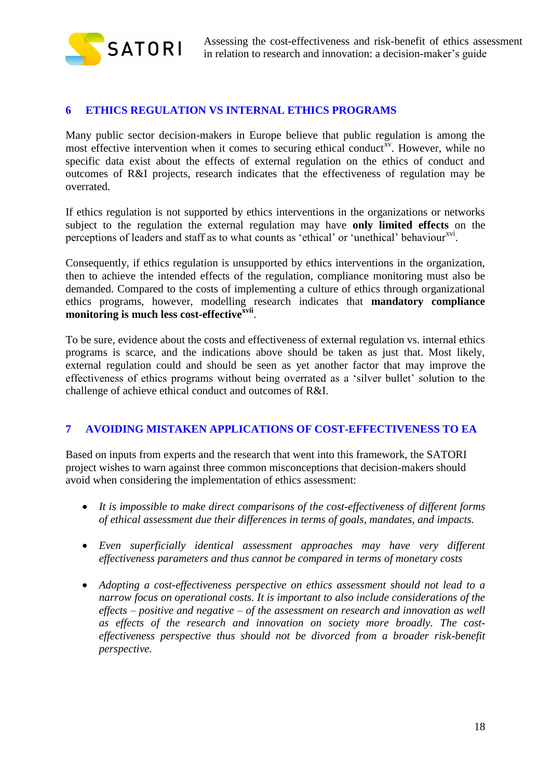

# <span id="page-17-0"></span>**6 ETHICS REGULATION VS INTERNAL ETHICS PROGRAMS**

Many public sector decision-makers in Europe believe that public regulation is among the most effective intervention when it comes to securing ethical conduct<sup>xv</sup>. However, while no specific data exist about the effects of external regulation on the ethics of conduct and outcomes of R&I projects, research indicates that the effectiveness of regulation may be overrated.

If ethics regulation is not supported by ethics interventions in the organizations or networks subject to the regulation the external regulation may have **only limited effects** on the perceptions of leaders and staff as to what counts as 'ethical' or 'unethical' behaviour<sup>xvi</sup>.

Consequently, if ethics regulation is unsupported by ethics interventions in the organization, then to achieve the intended effects of the regulation, compliance monitoring must also be demanded. Compared to the costs of implementing a culture of ethics through organizational ethics programs, however, modelling research indicates that **mandatory compliance monitoring is much less cost-effectivexvii** .

To be sure, evidence about the costs and effectiveness of external regulation vs. internal ethics programs is scarce, and the indications above should be taken as just that. Most likely, external regulation could and should be seen as yet another factor that may improve the effectiveness of ethics programs without being overrated as a 'silver bullet' solution to the challenge of achieve ethical conduct and outcomes of R&I.

# <span id="page-17-1"></span>**7 AVOIDING MISTAKEN APPLICATIONS OF COST-EFFECTIVENESS TO EA**

Based on inputs from experts and the research that went into this framework, the SATORI project wishes to warn against three common misconceptions that decision-makers should avoid when considering the implementation of ethics assessment:

- *It is impossible to make direct comparisons of the cost-effectiveness of different forms of ethical assessment due their differences in terms of goals, mandates, and impacts.*
- *Even superficially identical assessment approaches may have very different effectiveness parameters and thus cannot be compared in terms of monetary costs*
- *Adopting a cost-effectiveness perspective on ethics assessment should not lead to a narrow focus on operational costs. It is important to also include considerations of the effects – positive and negative – of the assessment on research and innovation as well as effects of the research and innovation on society more broadly. The costeffectiveness perspective thus should not be divorced from a broader risk-benefit perspective.*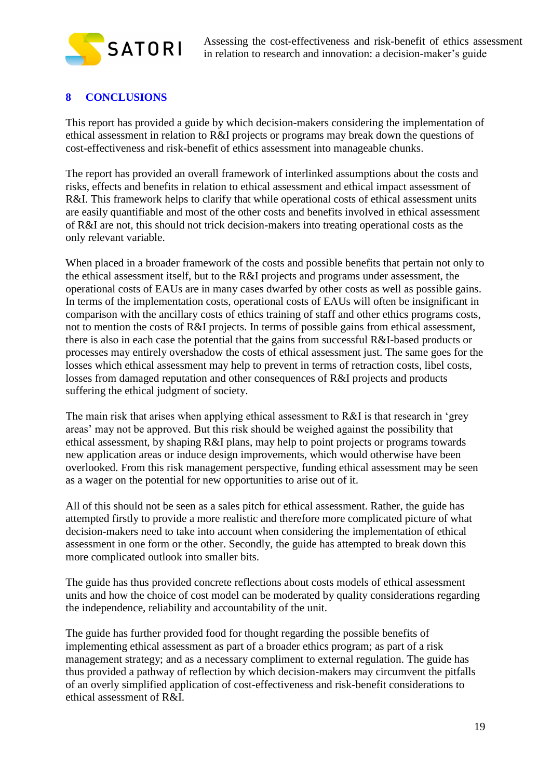

# <span id="page-18-0"></span>**8 CONCLUSIONS**

This report has provided a guide by which decision-makers considering the implementation of ethical assessment in relation to R&I projects or programs may break down the questions of cost-effectiveness and risk-benefit of ethics assessment into manageable chunks.

The report has provided an overall framework of interlinked assumptions about the costs and risks, effects and benefits in relation to ethical assessment and ethical impact assessment of R&I. This framework helps to clarify that while operational costs of ethical assessment units are easily quantifiable and most of the other costs and benefits involved in ethical assessment of R&I are not, this should not trick decision-makers into treating operational costs as the only relevant variable.

When placed in a broader framework of the costs and possible benefits that pertain not only to the ethical assessment itself, but to the R&I projects and programs under assessment, the operational costs of EAUs are in many cases dwarfed by other costs as well as possible gains. In terms of the implementation costs, operational costs of EAUs will often be insignificant in comparison with the ancillary costs of ethics training of staff and other ethics programs costs, not to mention the costs of R&I projects. In terms of possible gains from ethical assessment, there is also in each case the potential that the gains from successful R&I-based products or processes may entirely overshadow the costs of ethical assessment just. The same goes for the losses which ethical assessment may help to prevent in terms of retraction costs, libel costs, losses from damaged reputation and other consequences of R&I projects and products suffering the ethical judgment of society.

The main risk that arises when applying ethical assessment to R&I is that research in 'grey areas' may not be approved. But this risk should be weighed against the possibility that ethical assessment, by shaping R&I plans, may help to point projects or programs towards new application areas or induce design improvements, which would otherwise have been overlooked. From this risk management perspective, funding ethical assessment may be seen as a wager on the potential for new opportunities to arise out of it.

All of this should not be seen as a sales pitch for ethical assessment. Rather, the guide has attempted firstly to provide a more realistic and therefore more complicated picture of what decision-makers need to take into account when considering the implementation of ethical assessment in one form or the other. Secondly, the guide has attempted to break down this more complicated outlook into smaller bits.

The guide has thus provided concrete reflections about costs models of ethical assessment units and how the choice of cost model can be moderated by quality considerations regarding the independence, reliability and accountability of the unit.

The guide has further provided food for thought regarding the possible benefits of implementing ethical assessment as part of a broader ethics program; as part of a risk management strategy; and as a necessary compliment to external regulation. The guide has thus provided a pathway of reflection by which decision-makers may circumvent the pitfalls of an overly simplified application of cost-effectiveness and risk-benefit considerations to ethical assessment of R&I.